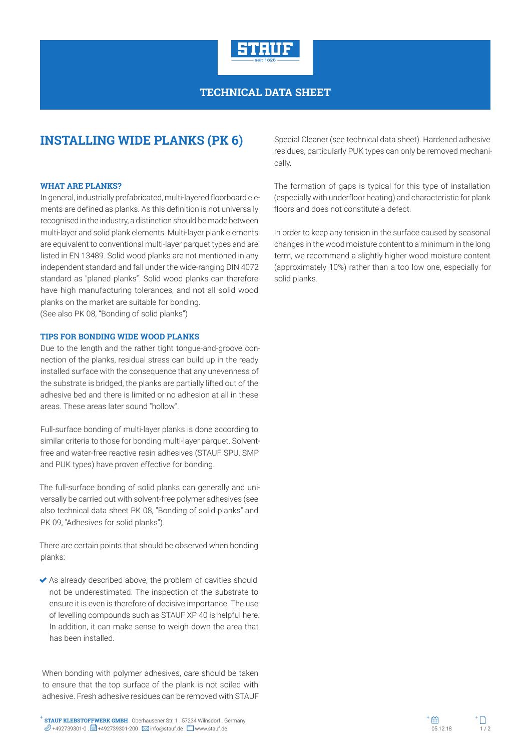

## **TECHNICAL DATA SHEET**

# **INSTALLING WIDE PLANKS (PK 6)**

#### **WHAT ARE PLANKS?**

In general, industrially prefabricated, multi-layered floorboard elements are defined as planks. As this definition is not universally recognised in the industry, a distinction should be made between multi-layer and solid plank elements. Multi-layer plank elements are equivalent to conventional multi-layer parquet types and are listed in EN 13489. Solid wood planks are not mentioned in any independent standard and fall under the wide-ranging DIN 4072 standard as "planed planks". Solid wood planks can therefore have high manufacturing tolerances, and not all solid wood planks on the market are suitable for bonding. (See also PK 08, "Bonding of solid planks")

#### **TIPS FOR BONDING WIDE WOOD PLANKS**

Due to the length and the rather tight tongue-and-groove connection of the planks, residual stress can build up in the ready installed surface with the consequence that any unevenness of the substrate is bridged, the planks are partially lifted out of the adhesive bed and there is limited or no adhesion at all in these areas. These areas later sound "hollow".

Full-surface bonding of multi-layer planks is done according to similar criteria to those for bonding multi-layer parquet. Solventfree and water-free reactive resin adhesives (STAUF SPU, SMP and PUK types) have proven effective for bonding.

The full-surface bonding of solid planks can generally and universally be carried out with solvent-free polymer adhesives (see also technical data sheet PK 08, "Bonding of solid planks" and PK 09, "Adhesives for solid planks").

There are certain points that should be observed when bonding planks:

 As already described above, the problem of cavities should not be underestimated. The inspection of the substrate to ensure it is even is therefore of decisive importance. The use of levelling compounds such as STAUF XP 40 is helpful here. In addition, it can make sense to weigh down the area that has been installed.

When bonding with polymer adhesives, care should be taken to ensure that the top surface of the plank is not soiled with adhesive. Fresh adhesive residues can be removed with STAUF

Special Cleaner (see technical data sheet). Hardened adhesive residues, particularly PUK types can only be removed mechanically.

The formation of gaps is typical for this type of installation (especially with underfloor heating) and characteristic for plank floors and does not constitute a defect.

In order to keep any tension in the surface caused by seasonal changes in the wood moisture content to a minimum in the long term, we recommend a slightly higher wood moisture content (approximately 10%) rather than a too low one, especially for solid planks.

**STAUF KLEBSTOFFWERK GMBH** . Oberhausener Str. 1 . 57234 Wilnsdorf . Germany **STAUF KLEBSTOFFWERK GMBH** . Oberhausener Str. 1 . 57234 Wilnsdorf . Germany  $\mathscr{D}$  +492739301-0 .  $\Box$  +492739301-200 .  $\boxtimes$  info@stauf.de .  $\Box$  www.stauf.de .  $\Box$  www.stauf.de . www.stauf.de . which is a state of t